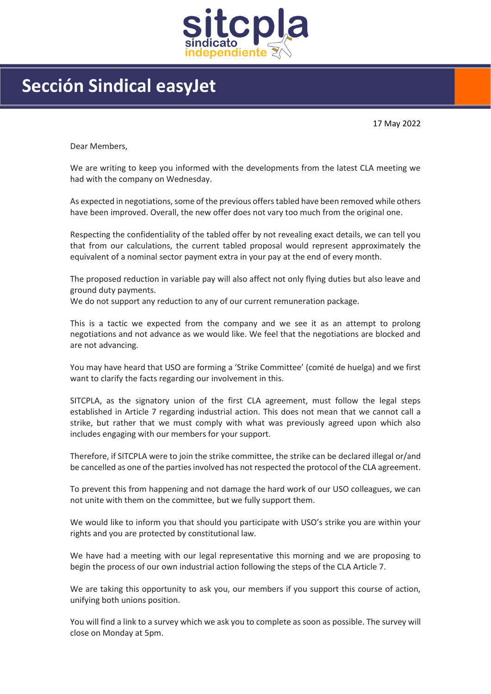

## Sección Sindical easyJet

17 May 2022

Dear Members,

We are writing to keep you informed with the developments from the latest CLA meeting we had with the company on Wednesday.

As expected in negotiations, some of the previous offers tabled have been removed while others have been improved. Overall, the new offer does not vary too much from the original one.

Respecting the confidentiality of the tabled offer by not revealing exact details, we can tell you that from our calculations, the current tabled proposal would represent approximately the equivalent of a nominal sector payment extra in your pay at the end of every month.

The proposed reduction in variable pay will also affect not only flying duties but also leave and ground duty payments.

We do not support any reduction to any of our current remuneration package.

This is a tactic we expected from the company and we see it as an attempt to prolong negotiations and not advance as we would like. We feel that the negotiations are blocked and are not advancing.

You may have heard that USO are forming a 'Strike Committee' (comité de huelga) and we first want to clarify the facts regarding our involvement in this.

SITCPLA, as the signatory union of the first CLA agreement, must follow the legal steps established in Article 7 regarding industrial action. This does not mean that we cannot call a strike, but rather that we must comply with what was previously agreed upon which also includes engaging with our members for your support.

Therefore, if SITCPLA were to join the strike committee, the strike can be declared illegal or/and be cancelled as one of the parties involved has not respected the protocol of the CLA agreement.

To prevent this from happening and not damage the hard work of our USO colleagues, we can not unite with them on the committee, but we fully support them.

We would like to inform you that should you participate with USO's strike you are within your rights and you are protected by constitutional law.

We have had a meeting with our legal representative this morning and we are proposing to begin the process of our own industrial action following the steps of the CLA Article 7.

We are taking this opportunity to ask you, our members if you support this course of action, unifying both unions position.

You will find a link to a survey which we ask you to complete as soon as possible. The survey will close on Monday at 5pm.